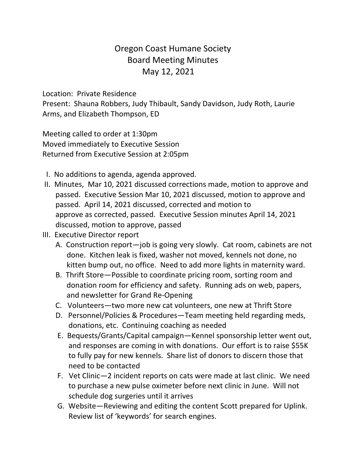# Oregon Coast Humane Society Board Meeting Minutes May 12, 2021

Location: Private Residence

Present: Shauna Robbers, Judy Thibault, Sandy Davidson, Judy Roth, Laurie Arms, and Elizabeth Thompson, ED

Meeting called to order at 1:30pm Moved immediately to Executive Session Returned from Executive Session at 2:05pm

- I. No additions to agenda, agenda approved.
- II. Minutes, Mar 10, 2021 discussed corrections made, motion to approve and passed. Executive Session Mar 10, 2021 discussed, motion to approve and passed. April 14, 2021 discussed, corrected and motion to approve as corrected, passed. Executive Session minutes April 14, 2021 discussed, motion to approve, passed
- III. Executive Director report
	- A. Construction report—job is going very slowly. Cat room, cabinets are not done. Kitchen leak is fixed, washer not moved, kennels not done, no kitten bump out, no office. Need to add more lights in maternity ward.
	- B. Thrift Store—Possible to coordinate pricing room, sorting room and donation room for efficiency and safety. Running ads on web, papers, and newsletter for Grand Re-Opening
	- C. Volunteers—two more new cat volunteers, one new at Thrift Store
	- D. Personnel/Policies & Procedures—Team meeting held regarding meds, donations, etc. Continuing coaching as needed
	- E. Bequests/Grants/Capital campaign—Kennel sponsorship letter went out, and responses are coming in with donations. Our effort is to raise \$55K to fully pay for new kennels. Share list of donors to discern those that need to be contacted
	- F. Vet Clinic—2 incident reports on cats were made at last clinic. We need to purchase a new pulse oximeter before next clinic in June. Will not schedule dog surgeries until it arrives
	- G. Website—Reviewing and editing the content Scott prepared for Uplink. Review list of 'keywords' for search engines.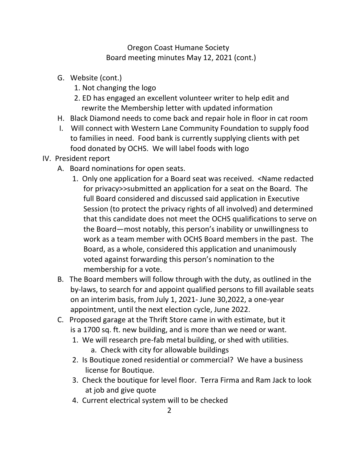### Oregon Coast Humane Society Board meeting minutes May 12, 2021 (cont.)

- G. Website (cont.)
	- 1. Not changing the logo
	- 2. ED has engaged an excellent volunteer writer to help edit and rewrite the Membership letter with updated information
- H. Black Diamond needs to come back and repair hole in floor in cat room
- I. Will connect with Western Lane Community Foundation to supply food to families in need. Food bank is currently supplying clients with pet food donated by OCHS. We will label foods with logo
- IV. President report
	- A. Board nominations for open seats.
		- 1. Only one application for a Board seat was received. <Name redacted for privacy>>submitted an application for a seat on the Board. The full Board considered and discussed said application in Executive Session (to protect the privacy rights of all involved) and determined that this candidate does not meet the OCHS qualifications to serve on the Board—most notably, this person's inability or unwillingness to work as a team member with OCHS Board members in the past. The Board, as a whole, considered this application and unanimously voted against forwarding this person's nomination to the membership for a vote.
	- B. The Board members will follow through with the duty, as outlined in the by-laws, to search for and appoint qualified persons to fill available seats on an interim basis, from July 1, 2021- June 30,2022, a one-year appointment, until the next election cycle, June 2022.
	- C. Proposed garage at the Thrift Store came in with estimate, but it is a 1700 sq. ft. new building, and is more than we need or want.
		- 1. We will research pre-fab metal building, or shed with utilities. a. Check with city for allowable buildings
		- 2. Is Boutique zoned residential or commercial? We have a business license for Boutique.
		- 3. Check the boutique for level floor. Terra Firma and Ram Jack to look at job and give quote
		- 4. Current electrical system will to be checked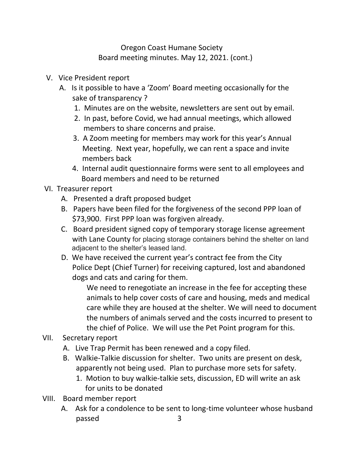## Oregon Coast Humane Society Board meeting minutes. May 12, 2021. (cont.)

- V. Vice President report
	- A. Is it possible to have a 'Zoom' Board meeting occasionally for the sake of transparency ?
		- 1. Minutes are on the website, newsletters are sent out by email.
		- 2. In past, before Covid, we had annual meetings, which allowed members to share concerns and praise.
		- 3. A Zoom meeting for members may work for this year's Annual Meeting. Next year, hopefully, we can rent a space and invite members back
		- 4. Internal audit questionnaire forms were sent to all employees and Board members and need to be returned

### VI. Treasurer report

- A. Presented a draft proposed budget
- B. Papers have been filed for the forgiveness of the second PPP loan of \$73,900. First PPP loan was forgiven already.
- C. Board president signed copy of temporary storage license agreement with Lane County for placing storage containers behind the shelter on land adjacent to the shelter's leased land.
- D. We have received the current year's contract fee from the City Police Dept (Chief Turner) for receiving captured, lost and abandoned dogs and cats and caring for them.

We need to renegotiate an increase in the fee for accepting these animals to help cover costs of care and housing, meds and medical care while they are housed at the shelter. We will need to document the numbers of animals served and the costs incurred to present to the chief of Police. We will use the Pet Point program for this.

# VII. Secretary report

- A. Live Trap Permit has been renewed and a copy filed.
- B. Walkie-Talkie discussion for shelter. Two units are present on desk, apparently not being used. Plan to purchase more sets for safety.
	- 1. Motion to buy walkie-talkie sets, discussion, ED will write an ask for units to be donated
- VIII. Board member report
	- A. Ask for a condolence to be sent to long-time volunteer whose husband passed 3